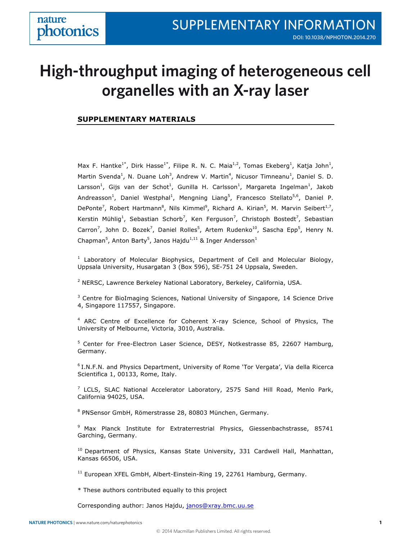# **High-throughput imaging of heterogeneous cell organelles with an X-ray laser**

# **SUPPLEMENTARY MATERIALS**

Max F. Hantke<sup>1\*</sup>, Dirk Hasse<sup>1\*</sup>, Filipe R. N. C. Maia<sup>1,2</sup>, Tomas Ekeberg<sup>1</sup>, Katja John<sup>1</sup>, Martin Svenda<sup>1</sup>, N. Duane Loh<sup>3</sup>, Andrew V. Martin<sup>4</sup>, Nicusor Timneanu<sup>1</sup>, Daniel S. D. Larsson<sup>1</sup>, Gijs van der Schot<sup>1</sup>, Gunilla H. Carlsson<sup>1</sup>, Margareta Ingelman<sup>1</sup>, Jakob Andreasson<sup>1</sup>, Daniel Westphal<sup>1</sup>, Mengning Liang<sup>5</sup>, Francesco Stellato<sup>5,6</sup>, Daniel P. DePonte<sup>7</sup>, Robert Hartmann<sup>8</sup>, Nils Kimmel<sup>9</sup>, Richard A. Kirian<sup>5</sup>, M. Marvin Seibert<sup>1,7</sup>, Kerstin Mühlig<sup>1</sup>, Sebastian Schorb<sup>7</sup>, Ken Ferguson<sup>7</sup>, Christoph Bostedt<sup>7</sup>, Sebastian Carron<sup>7</sup>, John D. Bozek<sup>7</sup>, Daniel Rolles<sup>5</sup>, Artem Rudenko<sup>10</sup>, Sascha Epp<sup>5</sup>, Henry N. Chapman<sup>5</sup>, Anton Barty<sup>5</sup>, Janos Hajdu<sup>1,11</sup> & Inger Andersson<sup>1</sup>

 $1$  Laboratory of Molecular Biophysics, Department of Cell and Molecular Biology, Uppsala University, Husargatan 3 (Box 596), SE-751 24 Uppsala, Sweden.

 $2$  NERSC, Lawrence Berkeley National Laboratory, Berkeley, California, USA.

<sup>3</sup> Centre for BioImaging Sciences, National University of Singapore, 14 Science Drive 4, Singapore 117557, Singapore.

<sup>4</sup> ARC Centre of Excellence for Coherent X-ray Science, School of Physics, The University of Melbourne, Victoria, 3010, Australia.

<sup>5</sup> Center for Free-Electron Laser Science, DESY, Notkestrasse 85, 22607 Hamburg, Germany.

6 I.N.F.N. and Physics Department, University of Rome 'Tor Vergata', Via della Ricerca Scientifica 1, 00133, Rome, Italy.

 $7$  LCLS, SLAC National Accelerator Laboratory, 2575 Sand Hill Road, Menlo Park, California 94025, USA.

<sup>8</sup> PNSensor GmbH, Römerstrasse 28, 80803 München, Germany.

<sup>9</sup> Max Planck Institute for Extraterrestrial Physics, Giessenbachstrasse, 85741 Garching, Germany.

<sup>10</sup> Department of Physics, Kansas State University, 331 Cardwell Hall, Manhattan, Kansas 66506, USA.

<sup>11</sup> European XFEL GmbH, Albert-Einstein-Ring 19, 22761 Hamburg, Germany.

\* These authors contributed equally to this project

Corresponding author: Janos Hajdu, janos@xray.bmc.uu.se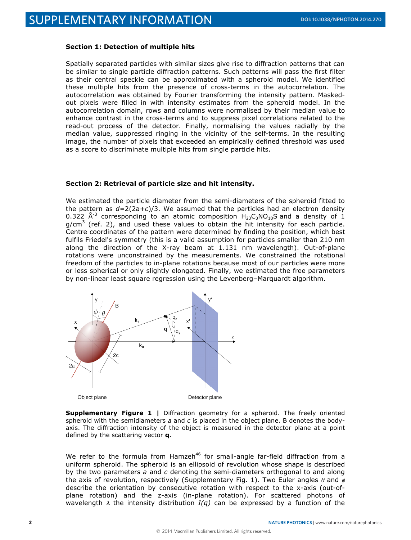#### **Section 1: Detection of multiple hits**

Spatially separated particles with similar sizes give rise to diffraction patterns that can be similar to single particle diffraction patterns. Such patterns will pass the first filter as their central speckle can be approximated with a spheroid model. We identified these multiple hits from the presence of cross-terms in the autocorrelation. The autocorrelation was obtained by Fourier transforming the intensity pattern. Maskedout pixels were filled in with intensity estimates from the spheroid model. In the autocorrelation domain, rows and columns were normalised by their median value to enhance contrast in the cross-terms and to suppress pixel correlations related to the read-out process of the detector. Finally, normalising the values radially by the median value, suppressed ringing in the vicinity of the self-terms. In the resulting image, the number of pixels that exceeded an empirically defined threshold was used as a score to discriminate multiple hits from single particle hits.

# **Section 2: Retrieval of particle size and hit intensity.**

We estimated the particle diameter from the semi-diameters of the spheroid fitted to the pattern as *d=*2(2a*+c*)/3. We assumed that the particles had an electron density 0.322  $\AA$ <sup>-3</sup> corresponding to an atomic composition  $H_{23}C_3NO_{10}S$  and a density of 1  $g/cm<sup>3</sup>$  (ref. 2), and used these values to obtain the hit intensity for each particle. Centre coordinates of the pattern were determined by finding the position, which best fulfils Friedel's symmetry (this is a valid assumption for particles smaller than 210 nm along the direction of the X-ray beam at 1.131 nm wavelength). Out-of-plane rotations were unconstrained by the measurements. We constrained the rotational freedom of the particles to in-plane rotations because most of our particles were more or less spherical or only slightly elongated. Finally, we estimated the free parameters by non-linear least square regression using the Levenberg–Marquardt algorithm.



**Supplementary Figure 1 |** Diffraction geometry for a spheroid. The freely oriented spheroid with the semidiameters *a* and *c* is placed in the object plane. B denotes the bodyaxis. The diffraction intensity of the object is measured in the detector plane at a point defined by the scattering vector **q**.

We refer to the formula from Hamzeh<sup>46</sup> for small-angle far-field diffraction from a uniform spheroid. The spheroid is an ellipsoid of revolution whose shape is described by the two parameters *a* and *c* denoting the semi-diameters orthogonal to and along the axis of revolution, respectively (Supplementary Fig. 1). Two Euler angles  $\theta$  and  $\phi$ describe the orientation by consecutive rotation with respect to the x-axis (out-ofplane rotation) and the z-axis (in-plane rotation). For scattered photons of wavelength  $\lambda$  the intensity distribution *I(q)* can be expressed by a function of the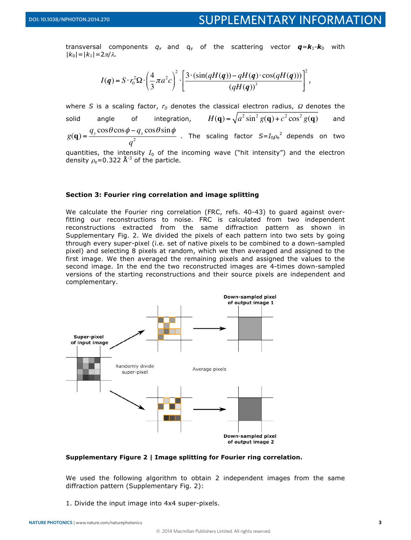transversal components  $q_x$  and  $q_y$  of the scattering vector  $\boldsymbol{q} = \boldsymbol{k}_1 \boldsymbol{\cdot} \boldsymbol{k}_0$  with  $|k_0|$ = $|k_1|$ =2π/λ*.* 

$$
I(q) = S \cdot r_0^2 \Omega \cdot \left(\frac{4}{3} \pi a^2 c\right)^2 \cdot \left[\frac{3 \cdot (\sin(qH(q)) - qH(q) \cdot \cos(qH(q)))}{\left(qH(q)\right)^3}\right]^2,
$$

where *S* is a scaling factor,  $r_0$  denotes the classical electron radius,  $\Omega$  denotes the solid angle of integration,  $2 \sin^2 g(\mathbf{q}) + c^2 \cos^2 g(\mathbf{q})$  and  $g(\mathbf{q}) = \frac{q_y \cos \theta \cos \phi - q_x \cos \theta \sin \phi}{q}$ *q*  $\frac{q_x}{2}$   $\frac{q_y}{2}$  . The scaling factor  $S = I_0 \rho_e^2$  depends on two quantities, the intensity  $I_0$  of the incoming wave ("hit intensity") and the electron

density  $\rho_e$ =0.322 Å<sup>-3</sup> of the particle.

# **Section 3: Fourier ring correlation and image splitting**

We calculate the Fourier ring correlation (FRC, refs. 40-43) to guard against overfitting our reconstructions to noise. FRC is calculated from two independent reconstructions extracted from the same diffraction pattern as shown in Supplementary Fig. 2. We divided the pixels of each pattern into two sets by going through every super-pixel (i.e. set of native pixels to be combined to a down-sampled pixel) and selecting 8 pixels at random, which we then averaged and assigned to the first image. We then averaged the remaining pixels and assigned the values to the second image. In the end the two reconstructed images are 4-times down-sampled versions of the starting reconstructions and their source pixels are independent and complementary.



### **Supplementary Figure 2 | Image splitting for Fourier ring correlation.**

We used the following algorithm to obtain 2 independent images from the same diffraction pattern (Supplementary Fig. 2):

1. Divide the input image into 4x4 super-pixels.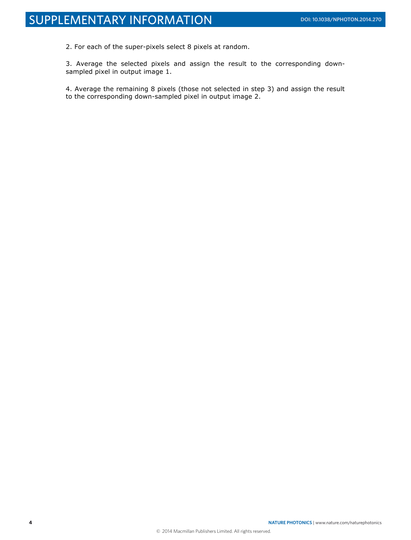2. For each of the super-pixels select 8 pixels at random.

3. Average the selected pixels and assign the result to the corresponding downsampled pixel in output image 1.

4. Average the remaining 8 pixels (those not selected in step 3) and assign the result to the corresponding down-sampled pixel in output image 2.